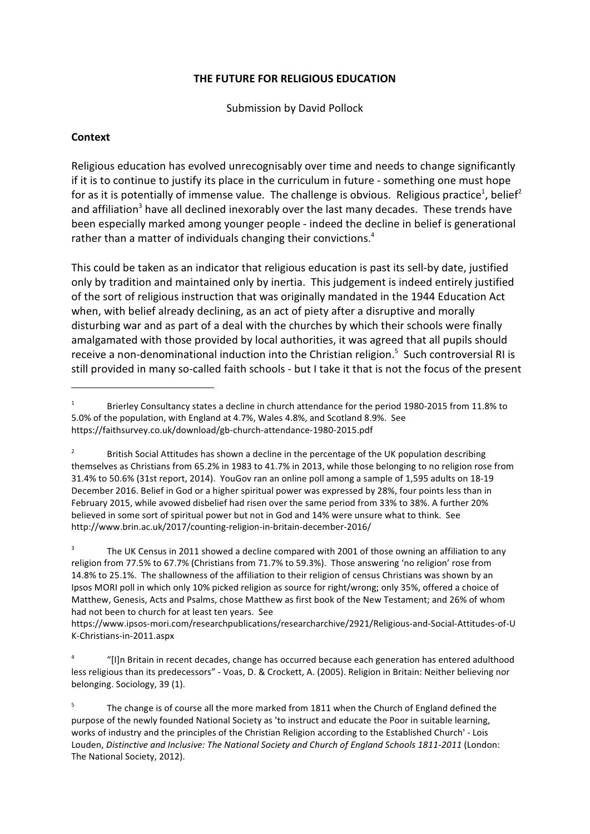### **THE FUTURE FOR RELIGIOUS EDUCATION**

Submission by David Pollock

### **Context**

Religious education has evolved unrecognisably over time and needs to change significantly if it is to continue to justify its place in the curriculum in future - something one must hope for as it is potentially of immense value. The challenge is obvious. Religious practice<sup>1</sup>, belief<sup>2</sup> and affiliation<sup>3</sup> have all declined inexorably over the last many decades. These trends have been especially marked among younger people - indeed the decline in belief is generational rather than a matter of individuals changing their convictions.<sup>4</sup>

This could be taken as an indicator that religious education is past its sell-by date, justified only by tradition and maintained only by inertia. This judgement is indeed entirely justified of the sort of religious instruction that was originally mandated in the 1944 Education Act when, with belief already declining, as an act of piety after a disruptive and morally disturbing war and as part of a deal with the churches by which their schools were finally amalgamated with those provided by local authorities, it was agreed that all pupils should receive a non-denominational induction into the Christian religion.<sup>5</sup> Such controversial RI is still provided in many so-called faith schools - but I take it that is not the focus of the present

3 The UK Census in 2011 showed a decline compared with 2001 of those owning an affiliation to any religion from 77.5% to 67.7% (Christians from 71.7% to 59.3%). Those answering 'no religion' rose from 14.8% to 25.1%. The shallowness of the affiliation to their religion of census Christians was shown by an Ipsos MORI poll in which only 10% picked religion as source for right/wrong; only 35%, offered a choice of Matthew, Genesis, Acts and Psalms, chose Matthew as first book of the New Testament; and 26% of whom had not been to church for at least ten years. See

https://www.ipsos-mori.com/researchpublications/researcharchive/2921/Religious-and-Social-Attitudes-of-U K-Christians-in-2011.aspx

4 "[I]n Britain in recent decades, change has occurred because each generation has entered adulthood less religious than its predecessors" - Voas, D. & Crockett, A. (2005). Religion in Britain: Neither believing nor belonging. Sociology, 39 (1).

<sup>1</sup> Brierley Consultancy states a decline in church attendance for the period 1980-2015 from 11.8% to 5.0% of the population, with England at 4.7%, Wales 4.8%, and Scotland 8.9%. See https://faithsurvey.co.uk/download/gb-church-attendance-1980-2015.pdf

<sup>2</sup> British Social Attitudes has shown a decline in the percentage of the UK population describing themselves as Christians from 65.2% in 1983 to 41.7% in 2013, while those belonging to no religion rose from 31.4% to 50.6% (31st report, 2014). YouGov ran an online poll among a sample of 1,595 adults on 18-19 December 2016. Belief in God or a higher spiritual power was expressed by 28%, four points less than in February 2015, while avowed disbelief had risen over the same period from 33% to 38%. A further 20% believed in some sort of spiritual power but not in God and 14% were unsure what to think. See http://www.brin.ac.uk/2017/counting-religion-in-britain-december-2016/

<sup>5</sup> The change is of course all the more marked from 1811 when the Church of England defined the purpose of the newly founded National Society as 'to instruct and educate the Poor in suitable learning, works of industry and the principles of the Christian Religion according to the Established Church' - Lois Louden, *Distinctive and Inclusive: The National Society and Church of England Schools 1811-2011* (London: The National Society, 2012).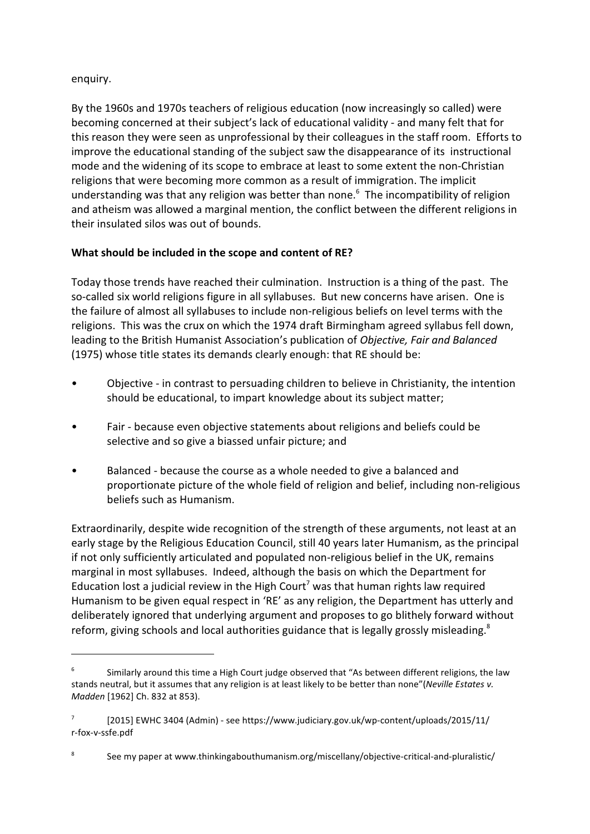### enquiry.

By the 1960s and 1970s teachers of religious education (now increasingly so called) were becoming concerned at their subject's lack of educational validity - and many felt that for this reason they were seen as unprofessional by their colleagues in the staff room. Efforts to improve the educational standing of the subject saw the disappearance of its instructional mode and the widening of its scope to embrace at least to some extent the non-Christian religions that were becoming more common as a result of immigration. The implicit understanding was that any religion was better than none.<sup>6</sup> The incompatibility of religion and atheism was allowed a marginal mention, the conflict between the different religions in their insulated silos was out of bounds.

# **What should be included in the scope and content of RE?**

Today those trends have reached their culmination. Instruction is a thing of the past. The so-called six world religions figure in all syllabuses. But new concerns have arisen. One is the failure of almost all syllabuses to include non-religious beliefs on level terms with the religions. This was the crux on which the 1974 draft Birmingham agreed syllabus fell down, leading to the British Humanist Association's publication of *Objective, Fair and Balanced* (1975) whose title states its demands clearly enough: that RE should be:

- Objective in contrast to persuading children to believe in Christianity, the intention should be educational, to impart knowledge about its subject matter;
- Fair because even objective statements about religions and beliefs could be selective and so give a biassed unfair picture; and
- Balanced because the course as a whole needed to give a balanced and proportionate picture of the whole field of religion and belief, including non-religious beliefs such as Humanism.

Extraordinarily, despite wide recognition of the strength of these arguments, not least at an early stage by the Religious Education Council, still 40 years later Humanism, as the principal if not only sufficiently articulated and populated non-religious belief in the UK, remains marginal in most syllabuses. Indeed, although the basis on which the Department for Education lost a judicial review in the High Court<sup>7</sup> was that human rights law required Humanism to be given equal respect in 'RE' as any religion, the Department has utterly and deliberately ignored that underlying argument and proposes to go blithely forward without reform, giving schools and local authorities guidance that is legally grossly misleading. $8$ 

<sup>6</sup> Similarly around this time a High Court judge observed that "As between different religions, the law stands neutral, but it assumes that any religion is at least likely to be better than none"(*Neville Estates v. Madden* [1962] Ch. 832 at 853).

<sup>7</sup> [2015] EWHC 3404 (Admin) - see https://www.judiciary.gov.uk/wp-content/uploads/2015/11/ r-fox-v-ssfe.pdf

<sup>8</sup> See my paper at www.thinkingabouthumanism.org/miscellany/objective-critical-and-pluralistic/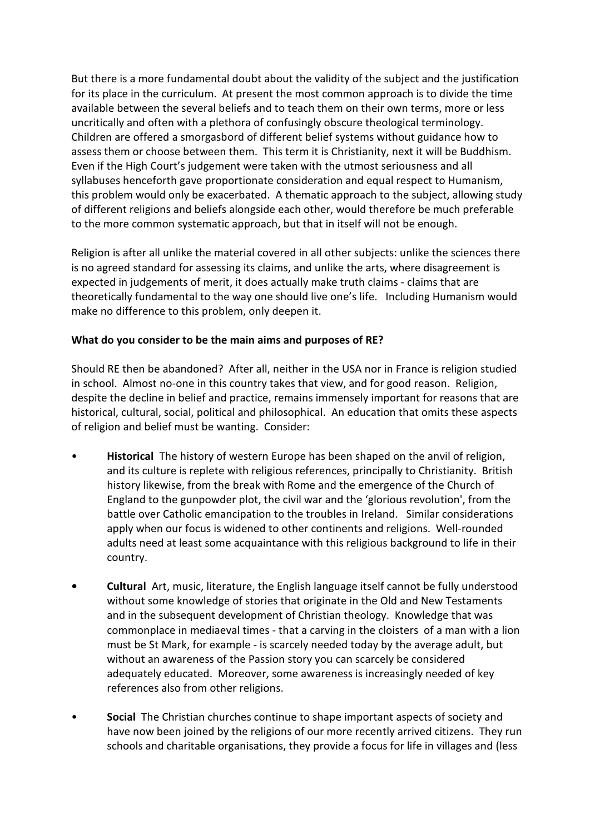But there is a more fundamental doubt about the validity of the subject and the justification for its place in the curriculum. At present the most common approach is to divide the time available between the several beliefs and to teach them on their own terms, more or less uncritically and often with a plethora of confusingly obscure theological terminology. Children are offered a smorgasbord of different belief systems without guidance how to assess them or choose between them. This term it is Christianity, next it will be Buddhism. Even if the High Court's judgement were taken with the utmost seriousness and all syllabuses henceforth gave proportionate consideration and equal respect to Humanism, this problem would only be exacerbated. A thematic approach to the subject, allowing study of different religions and beliefs alongside each other, would therefore be much preferable to the more common systematic approach, but that in itself will not be enough.

Religion is after all unlike the material covered in all other subjects: unlike the sciences there is no agreed standard for assessing its claims, and unlike the arts, where disagreement is expected in judgements of merit, it does actually make truth claims - claims that are theoretically fundamental to the way one should live one's life. Including Humanism would make no difference to this problem, only deepen it.

## **What do you consider to be the main aims and purposes of RE?**

Should RE then be abandoned? After all, neither in the USA nor in France is religion studied in school. Almost no-one in this country takes that view, and for good reason. Religion, despite the decline in belief and practice, remains immensely important for reasons that are historical, cultural, social, political and philosophical. An education that omits these aspects of religion and belief must be wanting. Consider:

- **Historical** The history of western Europe has been shaped on the anvil of religion, and its culture is replete with religious references, principally to Christianity. British history likewise, from the break with Rome and the emergence of the Church of England to the gunpowder plot, the civil war and the 'glorious revolution', from the battle over Catholic emancipation to the troubles in Ireland. Similar considerations apply when our focus is widened to other continents and religions. Well-rounded adults need at least some acquaintance with this religious background to life in their country.
- **• Cultural** Art, music, literature, the English language itself cannot be fully understood without some knowledge of stories that originate in the Old and New Testaments and in the subsequent development of Christian theology. Knowledge that was commonplace in mediaeval times - that a carving in the cloisters of a man with a lion must be St Mark, for example - is scarcely needed today by the average adult, but without an awareness of the Passion story you can scarcely be considered adequately educated. Moreover, some awareness is increasingly needed of key references also from other religions.
- **Social** The Christian churches continue to shape important aspects of society and have now been joined by the religions of our more recently arrived citizens. They run schools and charitable organisations, they provide a focus for life in villages and (less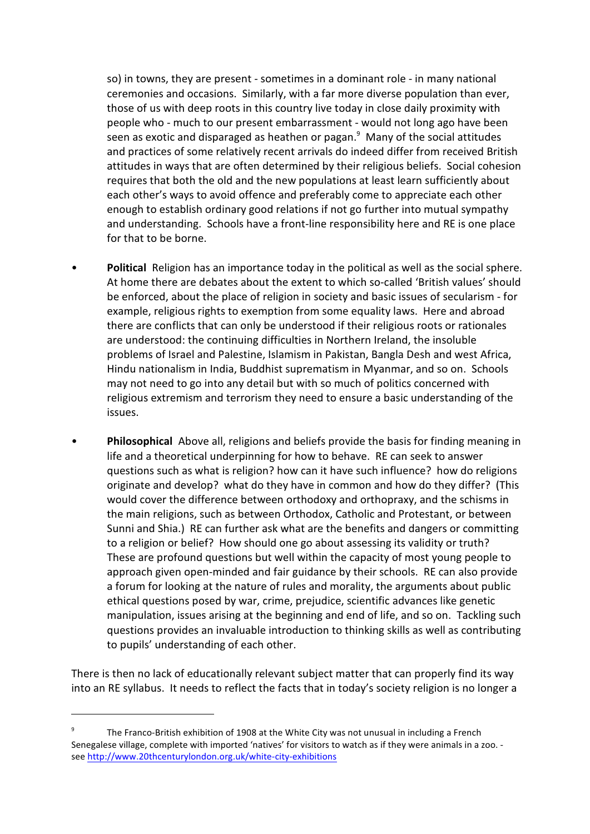so) in towns, they are present - sometimes in a dominant role - in many national ceremonies and occasions. Similarly, with a far more diverse population than ever, those of us with deep roots in this country live today in close daily proximity with people who - much to our present embarrassment - would not long ago have been seen as exotic and disparaged as heathen or pagan.<sup>9</sup> Many of the social attitudes and practices of some relatively recent arrivals do indeed differ from received British attitudes in ways that are often determined by their religious beliefs. Social cohesion requires that both the old and the new populations at least learn sufficiently about each other's ways to avoid offence and preferably come to appreciate each other enough to establish ordinary good relations if not go further into mutual sympathy and understanding. Schools have a front-line responsibility here and RE is one place for that to be borne.

- **Political** Religion has an importance today in the political as well as the social sphere. At home there are debates about the extent to which so-called 'British values' should be enforced, about the place of religion in society and basic issues of secularism - for example, religious rights to exemption from some equality laws. Here and abroad there are conflicts that can only be understood if their religious roots or rationales are understood: the continuing difficulties in Northern Ireland, the insoluble problems of Israel and Palestine, Islamism in Pakistan, Bangla Desh and west Africa, Hindu nationalism in India, Buddhist suprematism in Myanmar, and so on. Schools may not need to go into any detail but with so much of politics concerned with religious extremism and terrorism they need to ensure a basic understanding of the issues.
- **Philosophical** Above all, religions and beliefs provide the basis for finding meaning in life and a theoretical underpinning for how to behave. RE can seek to answer questions such as what is religion? how can it have such influence? how do religions originate and develop? what do they have in common and how do they differ? (This would cover the difference between orthodoxy and orthopraxy, and the schisms in the main religions, such as between Orthodox, Catholic and Protestant, or between Sunni and Shia.) RE can further ask what are the benefits and dangers or committing to a religion or belief? How should one go about assessing its validity or truth? These are profound questions but well within the capacity of most young people to approach given open-minded and fair guidance by their schools. RE can also provide a forum for looking at the nature of rules and morality, the arguments about public ethical questions posed by war, crime, prejudice, scientific advances like genetic manipulation, issues arising at the beginning and end of life, and so on. Tackling such questions provides an invaluable introduction to thinking skills as well as contributing to pupils' understanding of each other.

There is then no lack of educationally relevant subject matter that can properly find its way into an RE syllabus. It needs to reflect the facts that in today's society religion is no longer a

<sup>9</sup> The Franco-British exhibition of 1908 at the White City was not unusual in including a French Senegalese village, complete with imported 'natives' for visitors to watch as if they were animals in a zoo. see <http://www.20thcenturylondon.org.uk/white-city-exhibitions>